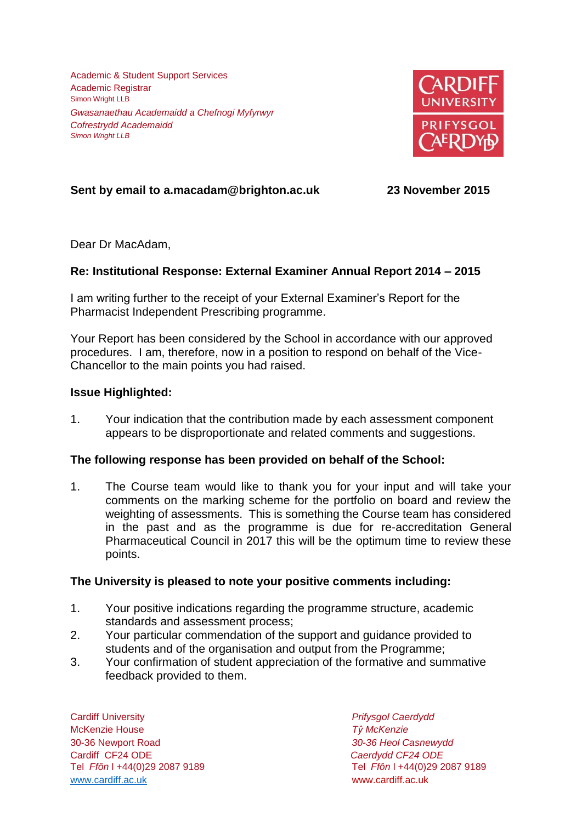Academic & Student Support Services Academic Registrar Simon Wright LLB *Gwasanaethau Academaidd a Chefnogi Myfyrwyr Cofrestrydd Academaidd Simon Wright LLB*



# **Sent by email to a.macadam@brighton.ac.uk 23 November 2015**

Dear Dr MacAdam,

## **Re: Institutional Response: External Examiner Annual Report 2014 – 2015**

I am writing further to the receipt of your External Examiner's Report for the Pharmacist Independent Prescribing programme.

Your Report has been considered by the School in accordance with our approved procedures. I am, therefore, now in a position to respond on behalf of the Vice-Chancellor to the main points you had raised.

### **Issue Highlighted:**

1. Your indication that the contribution made by each assessment component appears to be disproportionate and related comments and suggestions.

### **The following response has been provided on behalf of the School:**

1. The Course team would like to thank you for your input and will take your comments on the marking scheme for the portfolio on board and review the weighting of assessments. This is something the Course team has considered in the past and as the programme is due for re-accreditation General Pharmaceutical Council in 2017 this will be the optimum time to review these points.

### **The University is pleased to note your positive comments including:**

- 1. Your positive indications regarding the programme structure, academic standards and assessment process;
- 2. Your particular commendation of the support and guidance provided to students and of the organisation and output from the Programme;
- 3. Your confirmation of student appreciation of the formative and summative feedback provided to them.

Cardiff University *Prifysgol Caerdydd* McKenzie House *Tŷ McKenzie* 30-36 Newport Road *30-36 Heol Casnewydd* Cardiff CF24 ODE *Caerdydd CF24 ODE* [www.cardiff.ac.uk](http://www.cardiff.ac.uk/) www.cardiff.ac.uk

Tel *Ffôn* l +44(0)29 2087 9189 Tel *Ffôn* l +44(0)29 2087 9189